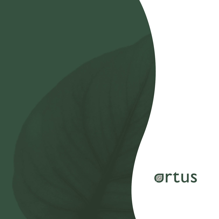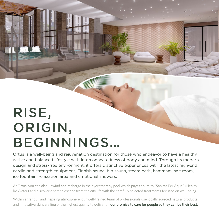# RISE, ORIGIN, BEGINNINGS…

Ortus is a well-being and rejuvenation destination for those who endeavor to have a healthy, active and balanced lifestyle with interconnectedness of body and mind. Through its modern design and stress-free environment, it offers distinctive experiences with the latest high-end cardio and strength equipment, Finnish sauna, bio sauna, steam bath, hammam, salt room, ice fountain, relaxation area and emotional showers.

At Ortus, you can also unwind and recharge in the hydrotherapy pool which pays tribute to "Sanitas Per Aqua" (Health by Water) and discover a serene escape from the city life with the carefully selected treatments focused on well-being.

Within a tranquil and inspiring atmosphere, our well-trained team of professionals use locally sourced natural products and innovative skincare line of the highest quality to deliver on our promise to care for people so they can be their best.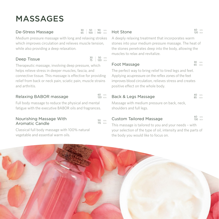# MASSAGES

#### De-Stress Massage

Medium pressure massage with long and relaxing strokes which improves circulation and relieves muscle tension, while also providing a deep relaxation.

# Deep Tissue

30 | 50 MIN 75 | 120 BGN

60 MIN 120 BGN

 $115$  BGN

30 | 50 | 90 MIN 65 | 100 | 140 BGN

Therapeutic massage, involving deep pressure, which helps relieve stress in deeper muscles, fascia, and connective tissue. This massage is effective for providing relief from back or neck pain, sciatic pain, muscle strains and arthritis.

# Relaxing BABOR massage

Full body massage to reduce the physical and mental fatigue with the executive BABOR oils and fragrances.

#### Nourishing Massage With Aromatic Candle

Classical full body massage with 100% natural vegetable and essential warm oils.

# Hot Stone

60 MIN 120 BGN

A deeply relaxing treatment that incorporates warm stones into your medium pressure massage. The heat of the stones penetrates deep into the body, allowing the muscles to relax and revitalize.

#### Foot Massage

30 MIN  $65$  BGN

The perfect way to bring relief to tired legs and feet. Applying acupressure on the reflex zones of the feet improves blood circulation, relieves stress and creates positive effect on the whole body.

# Back & Legs Massage

40 MIN  $85 \text{ B}$ 

Massage with medium pressure on back, neck, shoulders and full legs.

# $_{50}$   $_{\text{MIN}}$  Custom Tailored Massage  $_{50}$   $_{\text{MIN}}$   $_{50}$   $_{\text{BSN}}$

60 MIN<br>130 RGN

This massage is tailored to you and your needs – with your selection of the type of oil, intensity and the parts of the body you would like to focus on.

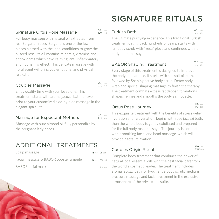#### Signature Ortus Rose Massage

Full body massage with natural oil extracted from real Bulgarian roses. Bulgaria is one of the few places blessed with the ideal conditions to grow the oilseed rose. Its oil contains minerals, vitamins and antioxidants which have calming, anti-inflammatory and nourishing effect. This delicate massage with floral scent will bring you emotional and physical relaxation.

#### Couples Massage

Enjoy quality time with your loved one. This treatment starts with aroma jacuzzi bath for two prior to your customized side-by-side massage in the elegant spa suite.

#### Massage for Expectant Mothers

40 MIN  $100$  BGN

75 MIN 230 BGN

Massage with pure almond oil fully personalize by the pregnant lady needs.

# ADDITIONAL TREATMENTS

| Scalp massage                         | 15 MIN 25 BGN |
|---------------------------------------|---------------|
| Facial massage & BABOR booster ampule | 15 MIN 40 BGN |
| BABOR facial mask                     | 25 BGN        |

# SIGNATURE RITUALS

#### Turkish Bath

60 MIN 130 BGN

The ultimate purifying experience. This traditional Turkish treatment dating back hundreds of years, starts with full body scrub with "kese" glove and continues with full body foam massage.

# BABOR Shaping Treatment

120 MIN 170 BGN

Every stage of this treatment is designed to improve the body appearance. It starts with sea salt oil bath, followed by Shaping active body scrub, Detox body wrap and special shaping massage to finish the therapy. The treatment combats excess fat deposit formations, shapes, refines and smooths the body's silhouette.

#### Ortus Rose Journey

120 MIN 170 BGN

This exquisite treatment with the benefits of stress-relief. hydration and rejuvenation, begins with rose jacuzzi bath, then the whole body is gently exfoliated and prepared for the full body rose massage. The journey is completed with a soothing facial and head massage, which will provide a total relaxation.

# Couples Origin Ritual

120 MIN  $400$  BGN

Complete body treatment that combines the power of natural local essential oils with the best facial care from the world's cosmetic leader. The treatment includes aroma jacuzzi bath for two, gentle body scrub, medium pressure massage and facial treatment in the exclusive atmosphere of the private spa suite.

60 MIN 120 BGN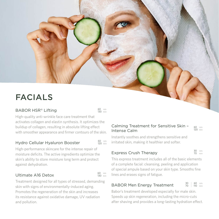# FACIALS

# BABOR HSR® Lifting

High-quality anti-wrinkle face care treatment that activates collagen and elastin synthesis. It optimizes the buildup of collagen, resulting in absolute lifting effect with smoother appearance and firmer contours of the skin.

# Hydro Cellular Hyaluron Booster

60 min<br>**120** bgn

60 min<br>**130** bgn

60 MIN<br>130 BGN

High-performance skincare for the intense repair of moisture deficits. The active ingredients optimize the skin's ability to store moisture long term and protect against dehydration.

# Ultimate A16 Detox

Treatment designed for all types of stressed, demanding skin with signs of environmentally-induced aging. Promotes the regeneration of the skin and increases its resistance against oxidative damage, UV radiation and pollution.

#### Calming Treatment for Sensitive Skin – Intense Calm

60 MIN  $120$  BGN

Instantly soothes and strengthens sensitive and irritated skin, making it healthier and softer.

# Express Crush Therapy

30 MIN<br>70 BGN

This express treatment includes all of the basic elements of a complete facial: cleansing, peeling and application of special ampule based on your skin type. Smooths fine lines and erases signs of fatigue.

# BABOR Men Energy Treatment

30 | 60 MIN 70 | 110 BGN

Babor's treatment developed especially for male skin. Speeds up skin regeneration, including the micro-cuts after shaving and provides a long-lasting hydration effect.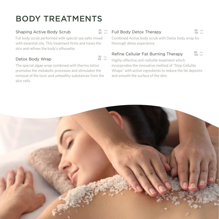# BODY TREATMENTS

# Shaping Active Body Scrub

Full body scrub performed with special sea salts mixed with essential oils. This treatment firms and tones the skin and refines the body's silhouette.

# Detox Body Wrap

The special algae wrap combined with thermo lotion promotes the metabolic processes and stimulates the removal of the toxic and unhealthy substances from the skin cells.

# Full Body Detox Therapy

25 MIN 60 BGN

30 MIN 65 BGN 60 MIN 110 BGN

Combined Active body scrub with Detox body wrap for thorough detox experience.

# Refine Cellular Fat Burning Therapy

60 MIN 120 BGN

Highly-effective anti-cellulite treatment which incorporates the innovative method of "Stop Cellulite Wraps" with active ingredients to reduce the fat deposits and smooth the surface of the skin.